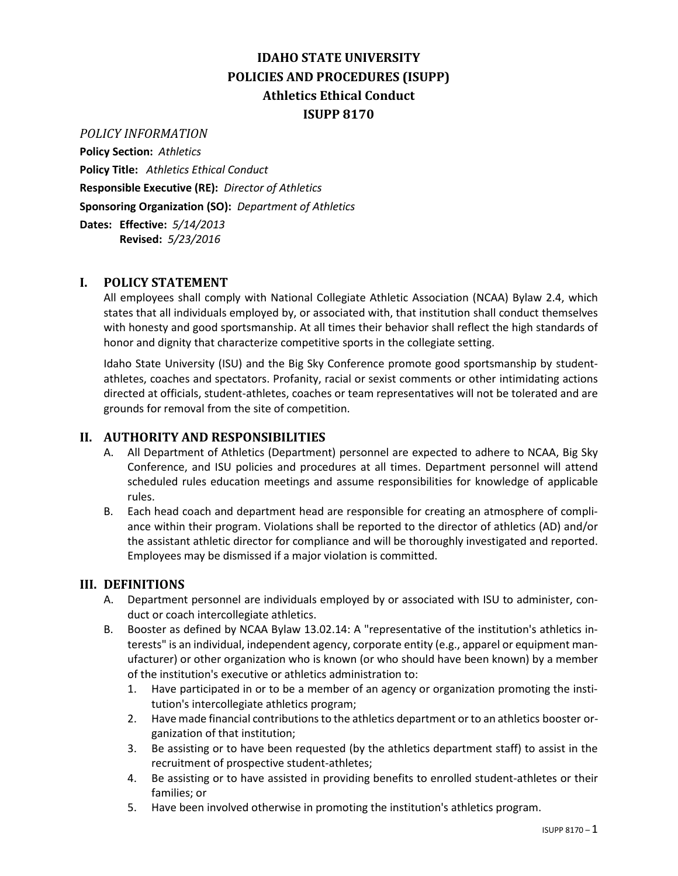# **IDAHO STATE UNIVERSITY POLICIES AND PROCEDURES (ISUPP) Athletics Ethical Conduct ISUPP 8170**

#### *POLICY INFORMATION*

**Policy Section:** *Athletics* **Policy Title:** *Athletics Ethical Conduct* **Responsible Executive (RE):** *Director of Athletics* **Sponsoring Organization (SO):** *Department of Athletics* **Dates: Effective:** *5/14/2013*

**Revised:** *5/23/2016*

## **I. POLICY STATEMENT**

All employees shall comply with National Collegiate Athletic Association (NCAA) Bylaw 2.4, which states that all individuals employed by, or associated with, that institution shall conduct themselves with honesty and good sportsmanship. At all times their behavior shall reflect the high standards of honor and dignity that characterize competitive sports in the collegiate setting.

Idaho State University (ISU) and the Big Sky Conference promote good sportsmanship by studentathletes, coaches and spectators. Profanity, racial or sexist comments or other intimidating actions directed at officials, student-athletes, coaches or team representatives will not be tolerated and are grounds for removal from the site of competition.

#### **II. AUTHORITY AND RESPONSIBILITIES**

- A. All Department of Athletics (Department) personnel are expected to adhere to NCAA, Big Sky Conference, and ISU policies and procedures at all times. Department personnel will attend scheduled rules education meetings and assume responsibilities for knowledge of applicable rules.
- B. Each head coach and department head are responsible for creating an atmosphere of compliance within their program. Violations shall be reported to the director of athletics (AD) and/or the assistant athletic director for compliance and will be thoroughly investigated and reported. Employees may be dismissed if a major violation is committed.

## **III. DEFINITIONS**

- A. Department personnel are individuals employed by or associated with ISU to administer, conduct or coach intercollegiate athletics.
- B. Booster as defined by NCAA Bylaw 13.02.14: A "representative of the institution's athletics interests" is an individual, independent agency, corporate entity (e.g., apparel or equipment manufacturer) or other organization who is known (or who should have been known) by a member of the institution's executive or athletics administration to:
	- 1. Have participated in or to be a member of an agency or organization promoting the institution's intercollegiate athletics program;
	- 2. Have made financial contributions to the athletics department or to an athletics booster organization of that institution;
	- 3. Be assisting or to have been requested (by the athletics department staff) to assist in the recruitment of prospective student-athletes;
	- 4. Be assisting or to have assisted in providing benefits to enrolled student-athletes or their families; or
	- 5. Have been involved otherwise in promoting the institution's athletics program.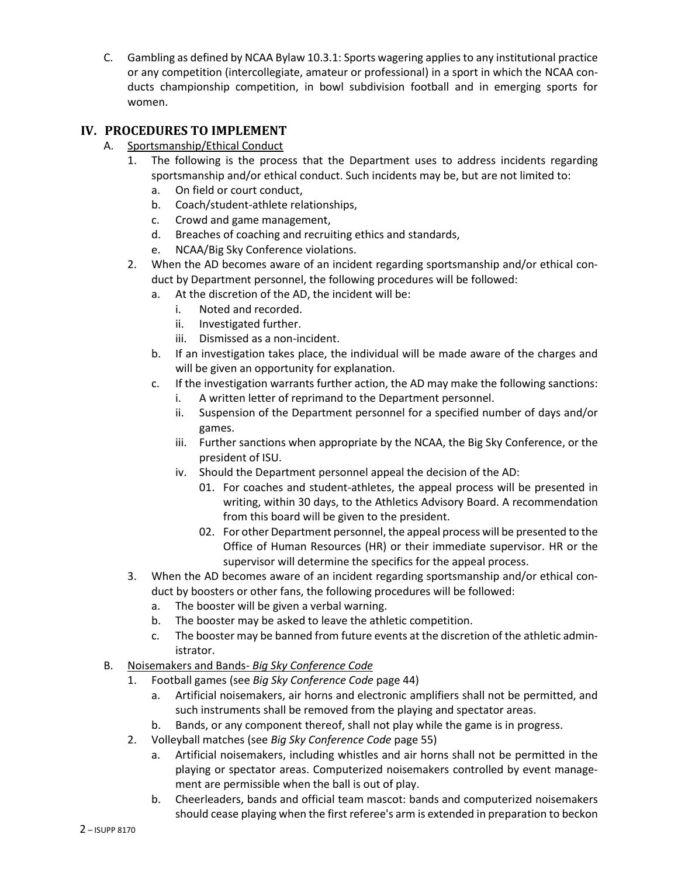C. Gambling as defined by NCAA Bylaw 10.3.1: Sports wagering applies to any institutional practice or any competition (intercollegiate, amateur or professional) in a sport in which the NCAA conducts championship competition, in bowl subdivision football and in emerging sports for women.

# **IV. PROCEDURES TO IMPLEMENT**

- A. Sportsmanship/Ethical Conduct
	- 1. The following is the process that the Department uses to address incidents regarding sportsmanship and/or ethical conduct. Such incidents may be, but are not limited to:
		- a. On field or court conduct,
		- b. Coach/student-athlete relationships,
		- c. Crowd and game management,
		- d. Breaches of coaching and recruiting ethics and standards,
		- e. NCAA/Big Sky Conference violations.
	- 2. When the AD becomes aware of an incident regarding sportsmanship and/or ethical conduct by Department personnel, the following procedures will be followed:
		- a. At the discretion of the AD, the incident will be:
			- i. Noted and recorded.
			- ii. Investigated further.
			- iii. Dismissed as a non-incident.
		- b. If an investigation takes place, the individual will be made aware of the charges and will be given an opportunity for explanation.
		- c. If the investigation warrants further action, the AD may make the following sanctions:
			- i. A written letter of reprimand to the Department personnel.
			- ii. Suspension of the Department personnel for a specified number of days and/or games.
			- iii. Further sanctions when appropriate by the NCAA, the Big Sky Conference, or the president of ISU.
			- iv. Should the Department personnel appeal the decision of the AD:
				- 01. For coaches and student-athletes, the appeal process will be presented in writing, within 30 days, to the Athletics Advisory Board. A recommendation from this board will be given to the president.
				- 02. For other Department personnel, the appeal process will be presented to the Office of Human Resources (HR) or their immediate supervisor. HR or the supervisor will determine the specifics for the appeal process.
	- 3. When the AD becomes aware of an incident regarding sportsmanship and/or ethical conduct by boosters or other fans, the following procedures will be followed:
		- a. The booster will be given a verbal warning.
		- b. The booster may be asked to leave the athletic competition.
		- c. The booster may be banned from future events at the discretion of the athletic administrator.
- B. Noisemakers and Bands- *Big Sky Conference Code*
	- 1. Football games (see *Big Sky Conference Code* page 44)
		- a. Artificial noisemakers, air horns and electronic amplifiers shall not be permitted, and such instruments shall be removed from the playing and spectator areas.
		- b. Bands, or any component thereof, shall not play while the game is in progress.
	- 2. Volleyball matches (see *Big Sky Conference Code* page 55)
		- a. Artificial noisemakers, including whistles and air horns shall not be permitted in the playing or spectator areas. Computerized noisemakers controlled by event management are permissible when the ball is out of play.
		- b. Cheerleaders, bands and official team mascot: bands and computerized noisemakers should cease playing when the first referee's arm is extended in preparation to beckon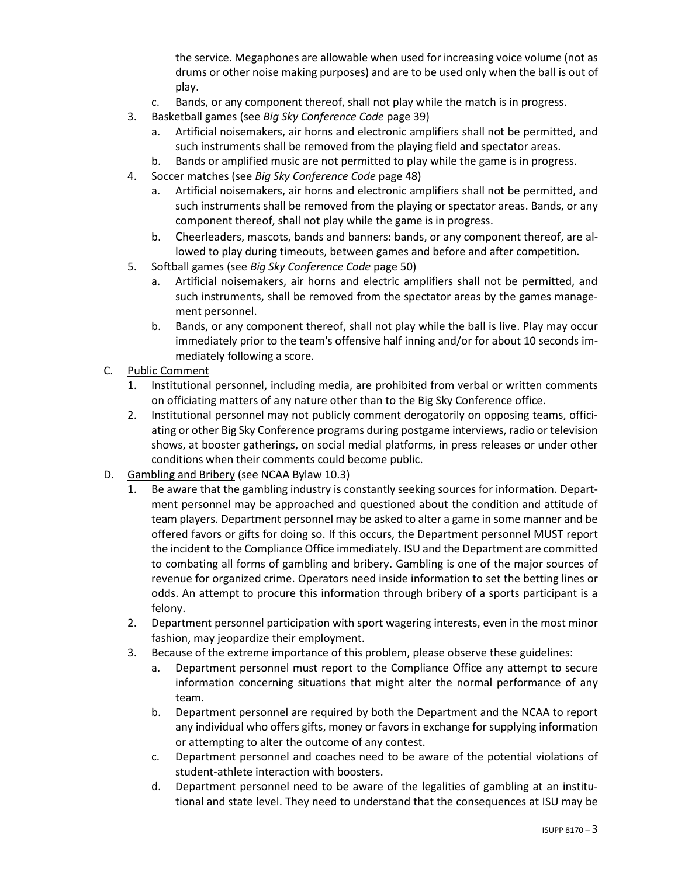the service. Megaphones are allowable when used for increasing voice volume (not as drums or other noise making purposes) and are to be used only when the ball is out of play.

- c. Bands, or any component thereof, shall not play while the match is in progress.
- 3. Basketball games (see *Big Sky Conference Code* page 39)
	- a. Artificial noisemakers, air horns and electronic amplifiers shall not be permitted, and such instruments shall be removed from the playing field and spectator areas.
	- b. Bands or amplified music are not permitted to play while the game is in progress.
- 4. Soccer matches (see *Big Sky Conference Code* page 48)
	- a. Artificial noisemakers, air horns and electronic amplifiers shall not be permitted, and such instruments shall be removed from the playing or spectator areas. Bands, or any component thereof, shall not play while the game is in progress.
	- b. Cheerleaders, mascots, bands and banners: bands, or any component thereof, are allowed to play during timeouts, between games and before and after competition.
- 5. Softball games (see *Big Sky Conference Code* page 50)
	- a. Artificial noisemakers, air horns and electric amplifiers shall not be permitted, and such instruments, shall be removed from the spectator areas by the games management personnel.
	- b. Bands, or any component thereof, shall not play while the ball is live. Play may occur immediately prior to the team's offensive half inning and/or for about 10 seconds immediately following a score.
- C. Public Comment
	- 1. Institutional personnel, including media, are prohibited from verbal or written comments on officiating matters of any nature other than to the Big Sky Conference office.
	- 2. Institutional personnel may not publicly comment derogatorily on opposing teams, officiating or other Big Sky Conference programs during postgame interviews, radio or television shows, at booster gatherings, on social medial platforms, in press releases or under other conditions when their comments could become public.
- D. Gambling and Bribery (see NCAA Bylaw 10.3)
	- 1. Be aware that the gambling industry is constantly seeking sources for information. Department personnel may be approached and questioned about the condition and attitude of team players. Department personnel may be asked to alter a game in some manner and be offered favors or gifts for doing so. If this occurs, the Department personnel MUST report the incident to the Compliance Office immediately. ISU and the Department are committed to combating all forms of gambling and bribery. Gambling is one of the major sources of revenue for organized crime. Operators need inside information to set the betting lines or odds. An attempt to procure this information through bribery of a sports participant is a felony.
	- 2. Department personnel participation with sport wagering interests, even in the most minor fashion, may jeopardize their employment.
	- 3. Because of the extreme importance of this problem, please observe these guidelines:
		- a. Department personnel must report to the Compliance Office any attempt to secure information concerning situations that might alter the normal performance of any team.
		- b. Department personnel are required by both the Department and the NCAA to report any individual who offers gifts, money or favors in exchange for supplying information or attempting to alter the outcome of any contest.
		- c. Department personnel and coaches need to be aware of the potential violations of student-athlete interaction with boosters.
		- d. Department personnel need to be aware of the legalities of gambling at an institutional and state level. They need to understand that the consequences at ISU may be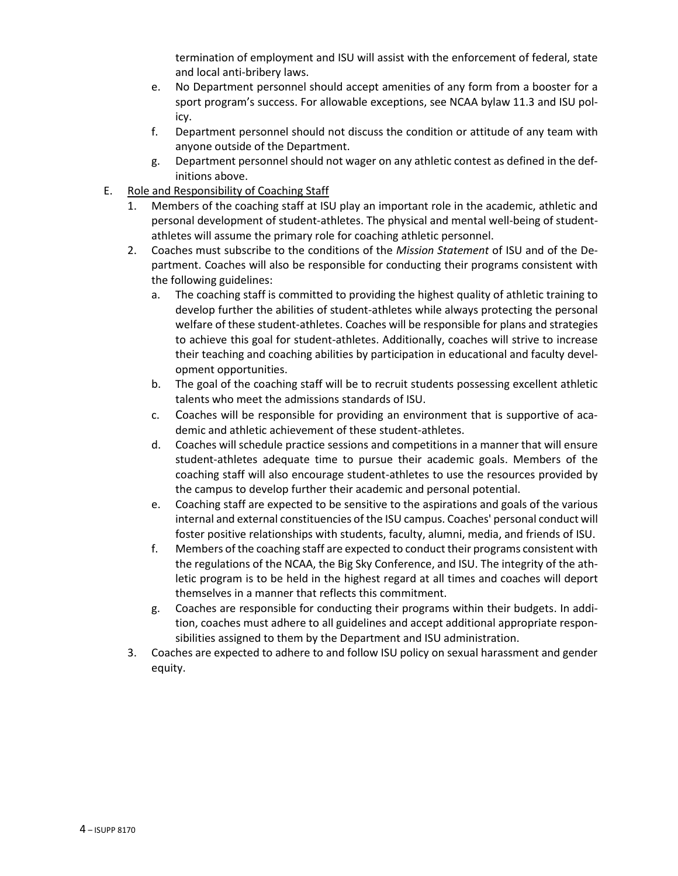termination of employment and ISU will assist with the enforcement of federal, state and local anti-bribery laws.

- e. No Department personnel should accept amenities of any form from a booster for a sport program's success. For allowable exceptions, see NCAA bylaw 11.3 and ISU policy.
- f. Department personnel should not discuss the condition or attitude of any team with anyone outside of the Department.
- g. Department personnel should not wager on any athletic contest as defined in the definitions above.
- E. Role and Responsibility of Coaching Staff
	- 1. Members of the coaching staff at ISU play an important role in the academic, athletic and personal development of student-athletes. The physical and mental well-being of studentathletes will assume the primary role for coaching athletic personnel.
	- 2. Coaches must subscribe to the conditions of the *Mission Statement* of ISU and of the Department. Coaches will also be responsible for conducting their programs consistent with the following guidelines:
		- a. The coaching staff is committed to providing the highest quality of athletic training to develop further the abilities of student-athletes while always protecting the personal welfare of these student-athletes. Coaches will be responsible for plans and strategies to achieve this goal for student-athletes. Additionally, coaches will strive to increase their teaching and coaching abilities by participation in educational and faculty development opportunities.
		- b. The goal of the coaching staff will be to recruit students possessing excellent athletic talents who meet the admissions standards of ISU.
		- c. Coaches will be responsible for providing an environment that is supportive of academic and athletic achievement of these student-athletes.
		- d. Coaches will schedule practice sessions and competitions in a manner that will ensure student-athletes adequate time to pursue their academic goals. Members of the coaching staff will also encourage student-athletes to use the resources provided by the campus to develop further their academic and personal potential.
		- e. Coaching staff are expected to be sensitive to the aspirations and goals of the various internal and external constituencies of the ISU campus. Coaches' personal conduct will foster positive relationships with students, faculty, alumni, media, and friends of ISU.
		- f. Members of the coaching staff are expected to conduct their programs consistent with the regulations of the NCAA, the Big Sky Conference, and ISU. The integrity of the athletic program is to be held in the highest regard at all times and coaches will deport themselves in a manner that reflects this commitment.
		- g. Coaches are responsible for conducting their programs within their budgets. In addition, coaches must adhere to all guidelines and accept additional appropriate responsibilities assigned to them by the Department and ISU administration.
	- 3. Coaches are expected to adhere to and follow ISU policy on sexual harassment and gender equity.